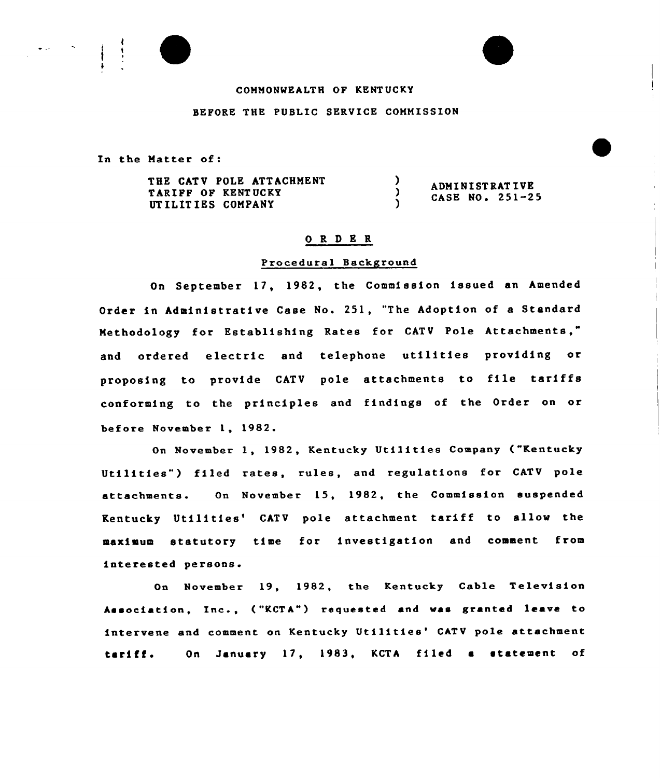## COMMONWEALTH QP KENT UCKY

## BEPORE THE PUBLIC SERVICE COMMISSION

In the Matter of:

THE CATV POLE ATTACHMENT  $\lambda$ ADMI NIST RAT IVE TARIPP OP KENT UCKY  $\lambda$ CASE NO <sup>~</sup> 251-25 <sup>1</sup> UTILITIES COMPANY

# 0 R <sup>D</sup> E R

### Procedural Background

On September 17, 1982, the Commission issued an Amended Order in Administrative Case No. 251, "The Adoption of a Standard Methodology for Establishing Rates for CATV Pole Attachments," and ordered electric and telephone utilities providing or proposing to provide CATV pole attachments to file tariffs conforming to the principles and findings of the Order on or before November 1, 1982.

On November 1, 1982, Kentucky Utilities Company ("Kentucky Utilities") filed rates, rules, and regulations for CATV pole attachments. On November 15, 1982, the Commission suspended Kentucky Utilities' CATV pole attachment tariff to allow the maximum statutory time for investigation and comment from interested persons.

On November 19, 1982, the Kentucky Cable Television Association, Inc., ("KCTA") requested and was granted leave to intervene and comment on Kentucky Utilities' CATV pole attachment tariff. On January 17, 1983, KCTA filed a statement of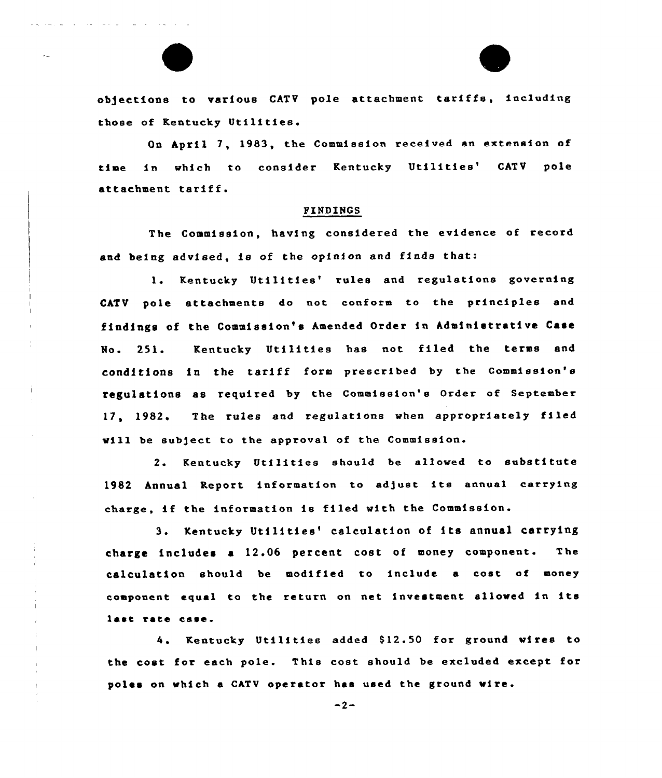objections to various CATV pole attachment tariffs, including those of Kentucky Utilities.

 $\blacktriangle$ 

On April 7, 1983, the Commission received an extension of time in which to consider Kentucky Utilities' CATV pole attachment tariff.

## FINDINGS

The Commission, having considered the evidence of record and being advised, is of the opinion and finds that:

1. Kentucky Utilities' rules and regulations governing CATV pole attachments do not conform to the principles and findings of the Commission's Amended Order in Administrative Case Mo. 251. Kentucky Utilities has not filed the terms and conditions in the tariff form prescribed by the Commission's regulations as required by the Commission's Order of September 17, 1982. The rules and regulations when appropriately filed will be subject to the approval of the Commission.

2. Kentucky Utilities should be allowed to substitute 1982 Annual Report information to adjust its annual carrying charge, if the information is filed with the Commission.

3. Kentucky Utilities'alculation of its annual carrying charge includes a 12.06 percent cost of money component. The calculation should be modified to include a cost of money component equal ta the return on net investment allowed in its last rate case.

4. Kentucky Utilities added \$12.50 for ground wires to the cost for each pole. This cost should be excluded except for poles an which a CATV operator has used the ground wire.

 $-2-$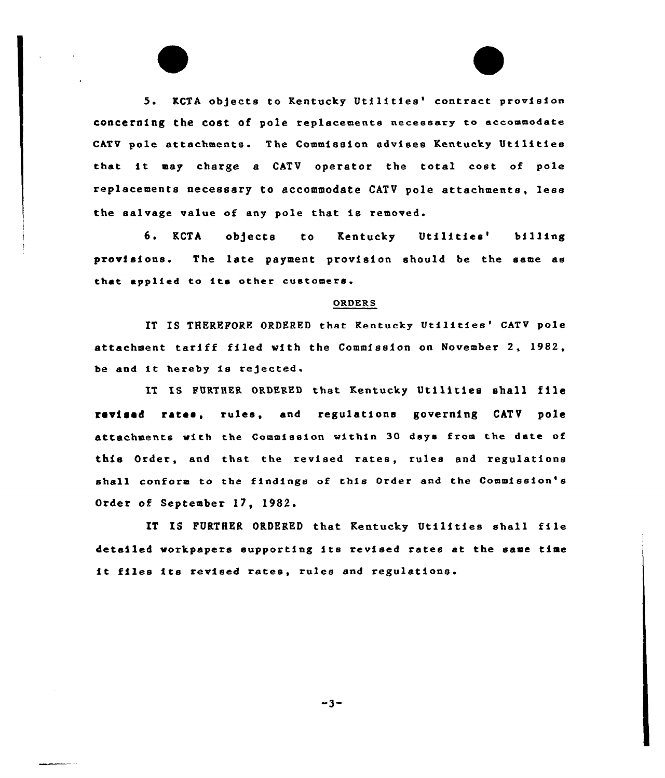5. KCTA objects to Kentucky Utilities' contract provision concerning the cost of pole replacements necessary to accommodate CATV pole attachments. The Commission advises Kentucky Utilities that it may charge <sup>a</sup> CATV operator the total cost of pole replacements necessary to accommodate CATV pole attachments, less the salvage value of any pole that is removed.

6. KCTA objects to Kentucky Utilities' bill provisions. The late payment provision should be the same as that applied to its other customers.

#### ORDERS

IT IS THEREFORE ORDERED that Kentucky Utilities' CATV pole attachment tariff filed with the Commission on November 2, 1982, be and it hereby is rejected.

IT IS FURTHER ORDERED that Kentucky Utilities shall file revised rates, rules, and regulations governing CATV pole attachments with the Commission within 30 days from the date of this Order, and that the revised xates, rules and xegulations shall conform to the findings of this Order and the Commission's Order of Septembex 17, 1982.

IT IS FURTHER ORDERED that Kentucky Utilities shall file detailed workpapers supporting its revised rates at the same time it files its revised rates, rules and regulations.

 $-3-$